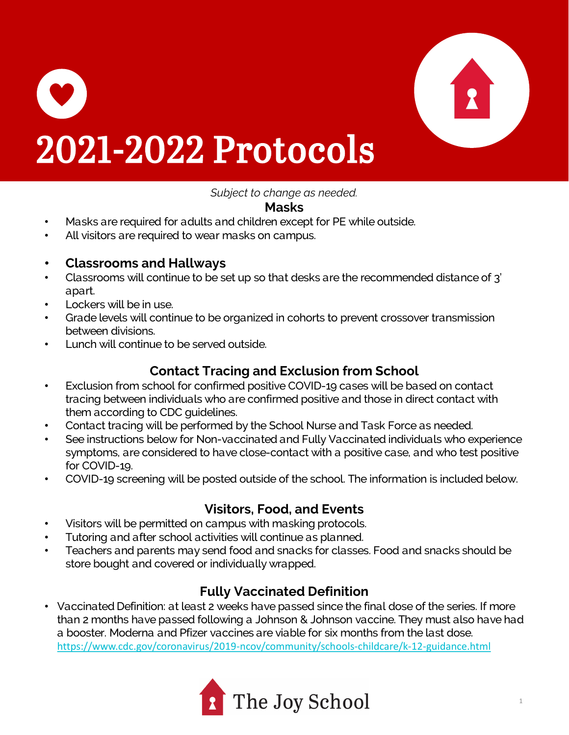

# 2021-2022 Protocols

*Subject to change as needed.*

#### **Masks**

- Masks are required for adults and children except for PE while outside.
- All visitors are required to wear masks on campus.

#### • **Classrooms and Hallways**

- Classrooms will continue to be set up so that desks are the recommended distance of 3' apart.
- Lockers will be in use.
- Grade levels will continue to be organized in cohorts to prevent crossover transmission between divisions.
- Lunch will continue to be served outside.

### **Contact Tracing and Exclusion from School**

- Exclusion from school for confirmed positive COVID-19 cases will be based on contact tracing between individuals who are confirmed positive and those in direct contact with them according to CDC guidelines.
- Contact tracing will be performed by the School Nurse and Task Force as needed.
- See instructions below for Non-vaccinated and Fully Vaccinated individuals who experience symptoms, are considered to have close-contact with a positive case, and who test positive for COVID-19.
- COVID-19 screening will be posted outside of the school. The information is included below.

### **Visitors, Food, and Events**

- Visitors will be permitted on campus with masking protocols.
- Tutoring and after school activities will continue as planned.
- Teachers and parents may send food and snacks for classes. Food and snacks should be store bought and covered or individually wrapped.

### **Fully Vaccinated Definition**

• Vaccinated Definition: at least 2 weeks have passed since the final dose of the series. If more than 2 months have passed following a Johnson & Johnson vaccine. They must also have had a booster. Moderna and Pfizer vaccines are viable for six months from the last dose. <https://www.cdc.gov/coronavirus/2019-ncov/community/schools-childcare/k-12-guidance.html>

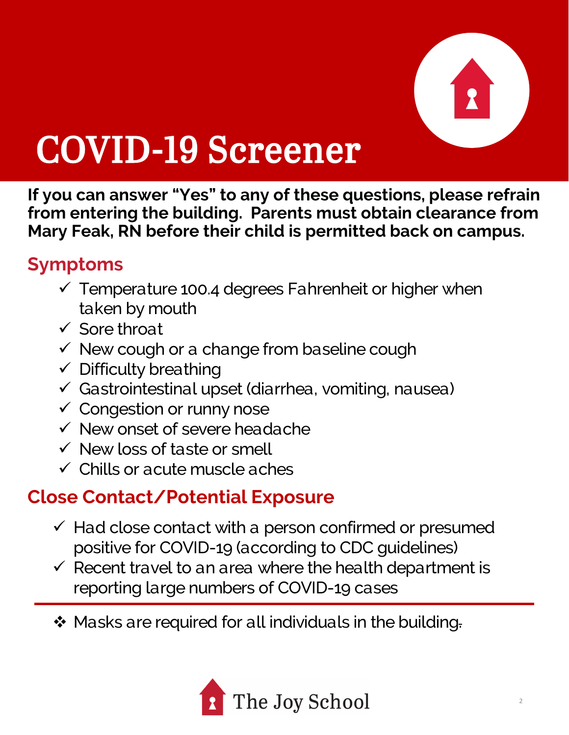

## COVID-19 Screener

**If you can answer "Yes" to any of these questions, please refrain from entering the building. Parents must obtain clearance from Mary Feak, RN before their child is permitted back on campus.**

### **Symptoms**

- $\checkmark$  Temperature 100.4 degrees Fahrenheit or higher when taken by mouth
- $\checkmark$  Sore throat
- $\checkmark$  New cough or a change from baseline cough
- $\checkmark$  Difficulty breathing
- $\checkmark$  Gastrointestinal upset (diarrhea, vomiting, nausea)
- $\checkmark$  Congestion or runny nose
- $\checkmark$  New onset of severe headache
- $\checkmark$  New loss of taste or smell
- $\checkmark$  Chills or acute muscle aches

### **Close Contact/Potential Exposure**

- $\checkmark$  Had close contact with a person confirmed or presumed positive for COVID-19 (according to CDC guidelines)
- $\checkmark$  Recent travel to an area where the health department is reporting large numbers of COVID-19 cases
- ❖ Masks are required for all individuals in the building.

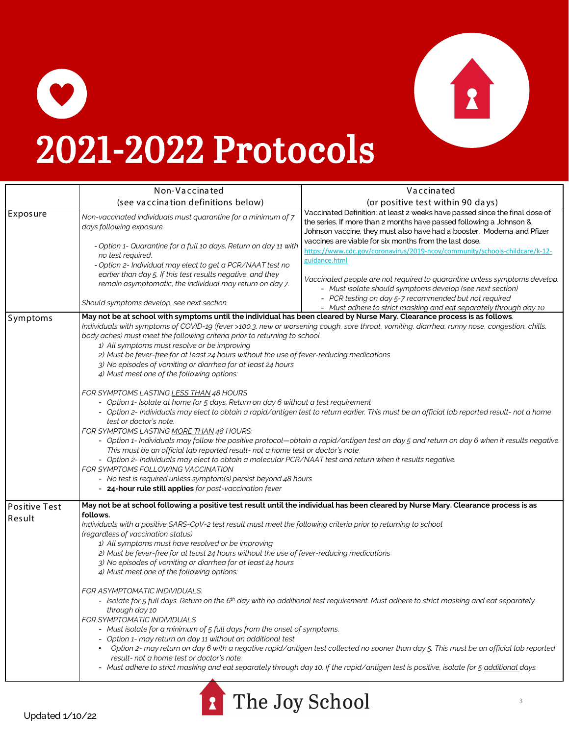

## 2021-2022 Protocols

|                                | Non-Vaccinated                                                                                                                                                                                                                                                                                                                                                                                                                                                                                                                                                                                                                                                                                                                                                                                                                                                                                                                                                                                                                                                                                                                                                                                                                                                                                                                                                                                                                                                                              | Vaccinated                                                                                                                                                                                                                   |
|--------------------------------|---------------------------------------------------------------------------------------------------------------------------------------------------------------------------------------------------------------------------------------------------------------------------------------------------------------------------------------------------------------------------------------------------------------------------------------------------------------------------------------------------------------------------------------------------------------------------------------------------------------------------------------------------------------------------------------------------------------------------------------------------------------------------------------------------------------------------------------------------------------------------------------------------------------------------------------------------------------------------------------------------------------------------------------------------------------------------------------------------------------------------------------------------------------------------------------------------------------------------------------------------------------------------------------------------------------------------------------------------------------------------------------------------------------------------------------------------------------------------------------------|------------------------------------------------------------------------------------------------------------------------------------------------------------------------------------------------------------------------------|
|                                | (see vaccination definitions below)                                                                                                                                                                                                                                                                                                                                                                                                                                                                                                                                                                                                                                                                                                                                                                                                                                                                                                                                                                                                                                                                                                                                                                                                                                                                                                                                                                                                                                                         | (or positive test within 90 days)                                                                                                                                                                                            |
| Exposure                       | Non-vaccinated individuals must quarantine for a minimum of 7<br>days following exposure.                                                                                                                                                                                                                                                                                                                                                                                                                                                                                                                                                                                                                                                                                                                                                                                                                                                                                                                                                                                                                                                                                                                                                                                                                                                                                                                                                                                                   | Vaccinated Definition: at least 2 weeks have passed since the final dose of<br>the series. If more than 2 months have passed following a Johnson &<br>Johnson vaccine, they must also have had a booster. Moderna and Pfizer |
|                                | - Option 1- Quarantine for a full 10 days. Return on day 11 with<br>no test required.<br>- Option 2- Individual may elect to get a PCR/NAAT test no                                                                                                                                                                                                                                                                                                                                                                                                                                                                                                                                                                                                                                                                                                                                                                                                                                                                                                                                                                                                                                                                                                                                                                                                                                                                                                                                         | vaccines are viable for six months from the last dose.<br>https://www.cdc.gov/coronavirus/2019-ncov/community/schools-childcare/k-12-<br>guidance.html                                                                       |
|                                | earlier than day 5. If this test results negative, and they<br>remain asymptomatic, the individual may return on day 7.                                                                                                                                                                                                                                                                                                                                                                                                                                                                                                                                                                                                                                                                                                                                                                                                                                                                                                                                                                                                                                                                                                                                                                                                                                                                                                                                                                     | Vaccinated people are not required to quarantine unless symptoms develop.<br>- Must isolate should symptoms develop (see next section)                                                                                       |
|                                | Should symptoms develop, see next section.                                                                                                                                                                                                                                                                                                                                                                                                                                                                                                                                                                                                                                                                                                                                                                                                                                                                                                                                                                                                                                                                                                                                                                                                                                                                                                                                                                                                                                                  | - PCR testing on day 5-7 recommended but not required<br>- Must adhere to strict masking and eat separately through day 10                                                                                                   |
| Symptoms                       | May not be at school with symptoms until the individual has been cleared by Nurse Mary. Clearance process is as follows.<br>Individuals with symptoms of COVID-19 (fever >100.3, new or worsening cough, sore throat, vomiting, diarrhea, runny nose, congestion, chills,<br>body aches) must meet the following criteria prior to returning to school<br>1) All symptoms must resolve or be improving<br>2) Must be fever-free for at least 24 hours without the use of fever-reducing medications<br>3) No episodes of vomiting or diarrhea for at least 24 hours<br>4) Must meet one of the following options:<br>FOR SYMPTOMS LASTING LESS THAN 48 HOURS<br>- Option 1- Isolate at home for 5 days. Return on day 6 without a test requirement<br>- Option 2- Individuals may elect to obtain a rapid/antigen test to return earlier. This must be an official lab reported result- not a home<br>test or doctor's note.<br>FOR SYMPTOMS LASTING MORE THAN 48 HOURS:<br>- Option 1- Individuals may follow the positive protocol-obtain a rapid/antigen test on day 5 and return on day 6 when it results negative.<br>This must be an official lab reported result- not a home test or doctor's note<br>- Option 2- Individuals may elect to obtain a molecular PCR/NAAT test and return when it results negative.<br>FOR SYMPTOMS FOLLOWING VACCINATION<br>- No test is required unless symptom(s) persist beyond 48 hours<br>- 24-hour rule still applies for post-vaccination fever |                                                                                                                                                                                                                              |
| <b>Positive Test</b><br>Result | May not be at school following a positive test result until the individual has been cleared by Nurse Mary. Clearance process is as<br>follows.<br>Individuals with a positive SARS-CoV-2 test result must meet the following criteria prior to returning to school<br>(regardless of vaccination status)<br>1) All symptoms must have resolved or be improving<br>2) Must be fever-free for at least 24 hours without the use of fever-reducing medications<br>3) No episodes of vomiting or diarrhea for at least 24 hours<br>4) Must meet one of the following options:<br>FOR ASYMPTOMATIC INDIVIDUALS:<br>- Isolate for 5 full days. Return on the 6 <sup>th</sup> day with no additional test requirement. Must adhere to strict masking and eat separately<br>through day 10<br>FOR SYMPTOMATIC INDIVIDUALS<br>- Must isolate for a minimum of 5 full days from the onset of symptoms.<br>- Option 1- may return on day 11 without an additional test<br>Option 2- may return on day 6 with a negative rapid∕antigen test collected no sooner than day 5. This must be an official lab reported<br>result- not a home test or doctor's note.<br>- Must adhere to strict masking and eat separately through day 10. If the rapid/antigen test is positive, isolate for 5 additional days.                                                                                                                                                                                              |                                                                                                                                                                                                                              |



 $\bullet$